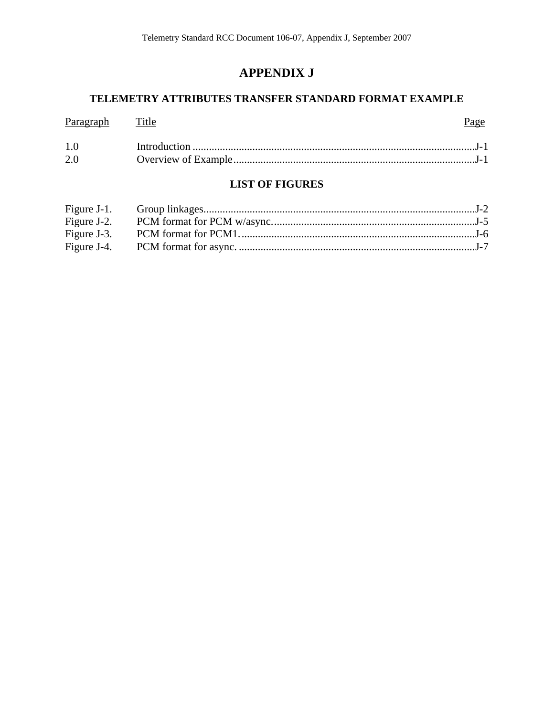# **APPENDIX J**

# **TELEMETRY ATTRIBUTES TRANSFER STANDARD FORMAT EXAMPLE**

# Paragraph Title Page

| 2.0 |  |
|-----|--|

# **LIST OF FIGURES**

| Figure J-2. |  |
|-------------|--|
|             |  |
|             |  |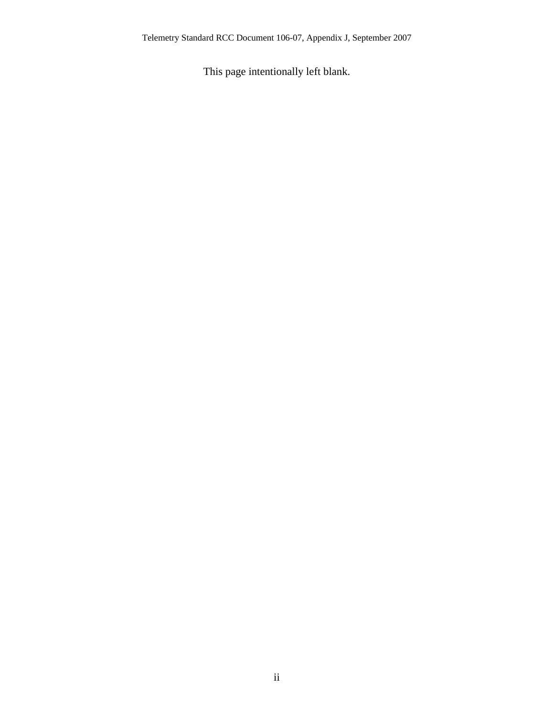This page intentionally left blank.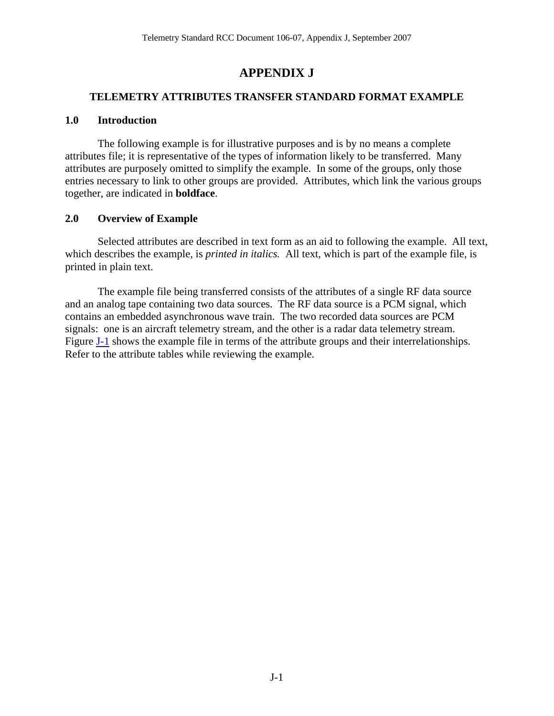# **APPENDIX J**

### <span id="page-2-0"></span>**TELEMETRY ATTRIBUTES TRANSFER STANDARD FORMAT EXAMPLE**

#### **1.0 Introduction**

 The following example is for illustrative purposes and is by no means a complete attributes file; it is representative of the types of information likely to be transferred. Many attributes are purposely omitted to simplify the example. In some of the groups, only those entries necessary to link to other groups are provided. Attributes, which link the various groups together, are indicated in **boldface**.

#### **2.0 Overview of Example**

 Selected attributes are described in text form as an aid to following the example.All text, which describes the example, is *printed in italics.* All text, which is part of the example file, is printed in plain text.

 The example file being transferred consists of the attributes of a single RF data source and an analog tape containing two data sources. The RF data source is a PCM signal, which contains an embedded asynchronous wave train. The two recorded data sources are PCM signals: one is an aircraft telemetry stream, and the other is a radar data telemetry stream. Figure **J**-1 shows the example file in terms of the attribute groups and their interrelationships. Refer to the attribute tables while reviewing the example.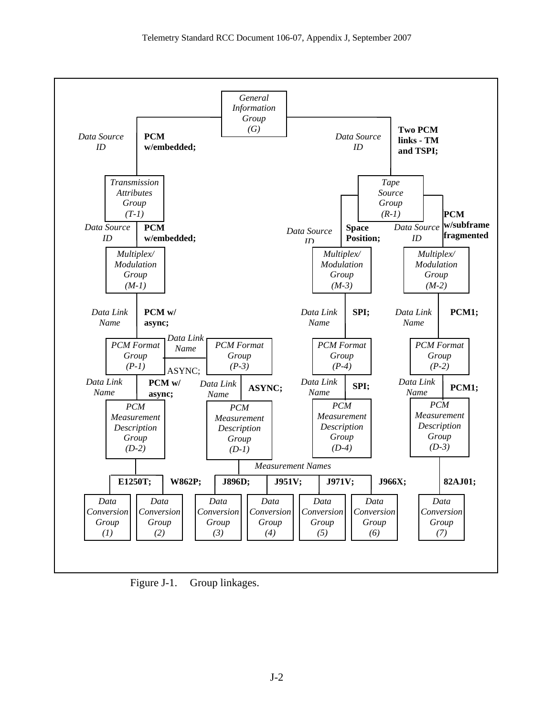<span id="page-3-0"></span>

Figure J-1. Group linkages.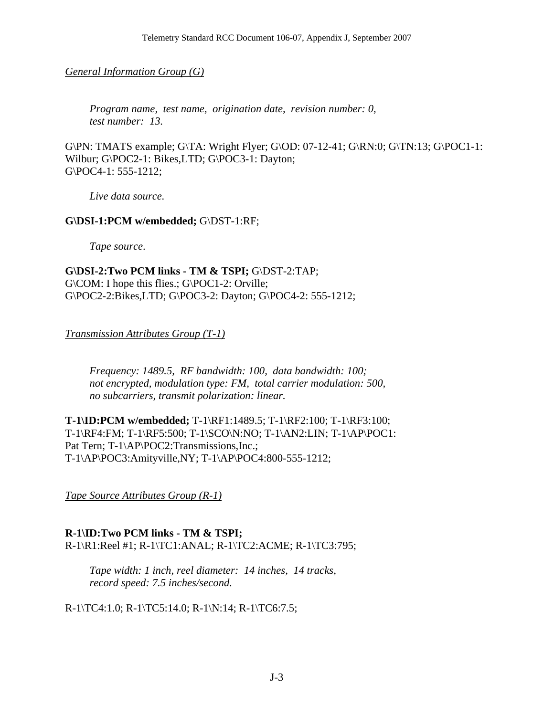*General Information Group (G)*

 *Program name, test name, origination date, revision number: 0, test number: 13.* 

G\PN: TMATS example; G\TA: Wright Flyer; G\OD: 07-12-41; G\RN:0; G\TN:13; G\POC1-1: Wilbur; G\POC2-1: Bikes,LTD; G\POC3-1: Dayton; G\POC4-1: 555-1212;

 *Live data source.* 

#### **G\DSI-1:PCM w/embedded;** G\DST-1:RF;

 *Tape source*.

**G\DSI-2:Two PCM links - TM & TSPI;** G\DST-2:TAP; G\COM: I hope this flies.; G\POC1-2: Orville; G\POC2-2:Bikes,LTD; G\POC3-2: Dayton; G\POC4-2: 555-1212;

*Transmission Attributes Group (T-1)*

 *Frequency: 1489.5, RF bandwidth: 100, data bandwidth: 100; not encrypted, modulation type: FM, total carrier modulation: 500, no subcarriers, transmit polarization: linear.* 

**T-1\ID:PCM w/embedded;** T-1\RF1:1489.5; T-1\RF2:100; T-1\RF3:100; T-1\RF4:FM; T-1\RF5:500; T-1\SCO\N:NO; T-1\AN2:LIN; T-1\AP\POC1: Pat Tern; T-1\AP\POC2:Transmissions,Inc.; T-1\AP\POC3:Amityville,NY; T-1\AP\POC4:800-555-1212;

*Tape Source Attributes Group (R-1)*

#### **R-1\ID:Two PCM links - TM & TSPI;** R-1\R1:Reel #1; R-1\TC1:ANAL; R-1\TC2:ACME; R-1\TC3:795;

 *Tape width: 1 inch, reel diameter: 14 inches, 14 tracks, record speed: 7.5 inches/second.*

 $R-1\$ TCA:1.0; R-1\TCS:14.0; R-1\ $N:14; R-1\$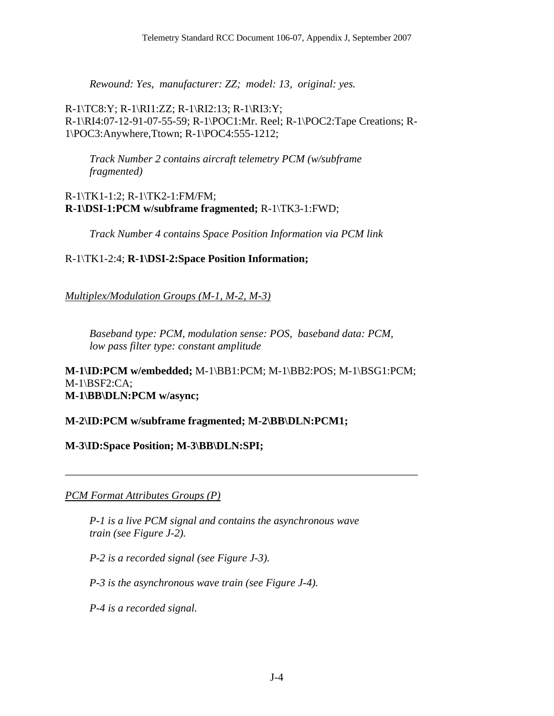*Rewound: Yes, manufacturer: ZZ; model: 13, original: yes.*

R-1\TC8:Y; R-1\RI1:ZZ; R-1\RI2:13; R-1\RI3:Y; R-1\RI4:07-12-91-07-55-59; R-1\POC1:Mr. Reel; R-1\POC2:Tape Creations; R-1\POC3:Anywhere,Ttown; R-1\POC4:555-1212;

 *Track Number 2 contains aircraft telemetry PCM (w/subframe fragmented)*

#### R-1\TK1-1:2; R-1\TK2-1:FM/FM; **R-1\DSI-1:PCM w/subframe fragmented;** R-1\TK3-1:FWD;

 *Track Number 4 contains Space Position Information via PCM link*

# R-1\TK1-2:4; **R-1\DSI-2:Space Position Information;**

*Multiplex/Modulation Groups (M-1, M-2, M-3)*

 *Baseband type: PCM, modulation sense: POS, baseband data: PCM, low pass filter type: constant amplitude* 

**M-1\ID:PCM w/embedded;** M-1\BB1:PCM; M-1\BB2:POS; M-1\BSG1:PCM;  $M-1\setminus BSF2:CA;$ **M-1\BB\DLN:PCM w/async;**

\_\_\_\_\_\_\_\_\_\_\_\_\_\_\_\_\_\_\_\_\_\_\_\_\_\_\_\_\_\_\_\_\_\_\_\_\_\_\_\_\_\_\_\_\_\_\_\_\_\_\_\_\_\_\_\_\_\_\_\_\_\_\_\_\_

# **M-2\ID:PCM w/subframe fragmented; M-2\BB\DLN:PCM1;**

# **M-3\ID:Space Position; M-3\BB\DLN:SPI;**

*PCM Format Attributes Groups (P)*

 *P-1 is a live PCM signal and contains the asynchronous wave train (see Figure J-2).* 

 *P-2 is a recorded signal (see Figure J-3).* 

 *P-3 is the asynchronous wave train (see Figure J-4).* 

 *P-4 is a recorded signal.*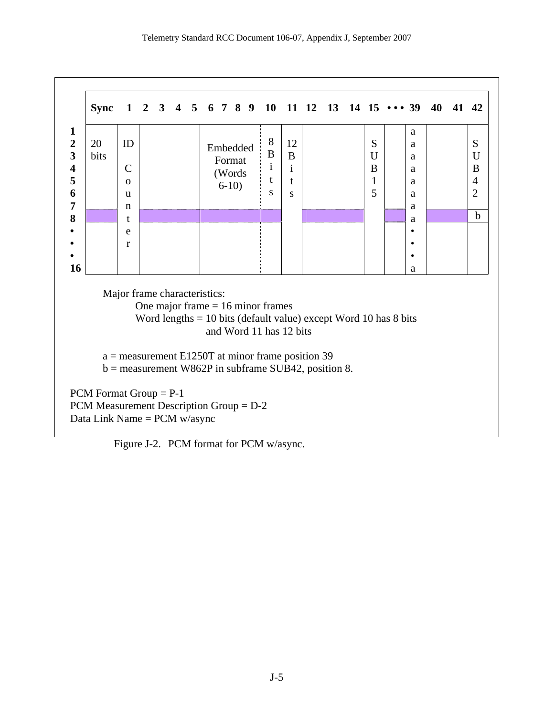<span id="page-6-0"></span>

Figure J-2. PCM format for PCM w/async.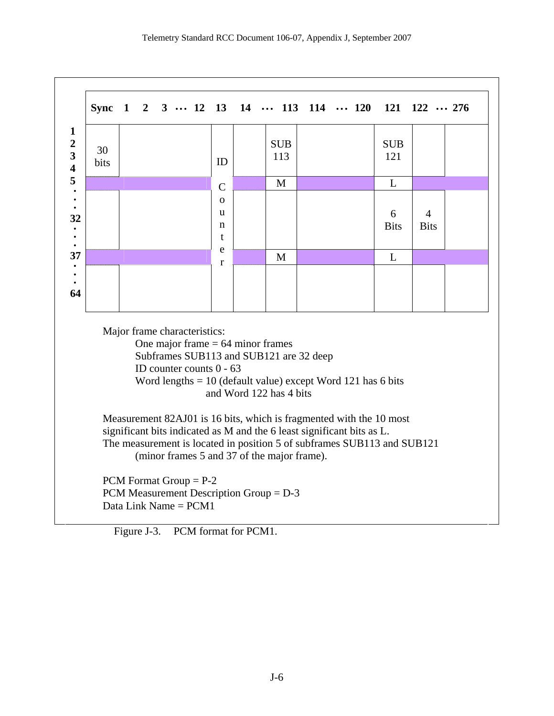<span id="page-7-0"></span>

Figure J-3. PCM format for PCM1.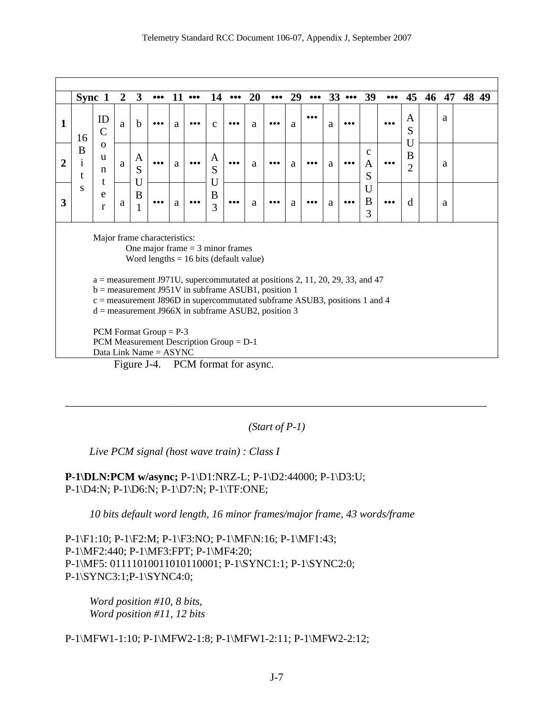<span id="page-8-0"></span>

|                                                                                                                                                                                                   | Sync 1                 |                          | $\overline{2}$ | 3                 | $\bullet\bullet\bullet$ | 11 | $\bullet\bullet\bullet$ | 14           | $\bullet\bullet\bullet$ | <b>20</b> | $\bullet\bullet\bullet$ | 29 | $\bullet\bullet\bullet$ |   | $33 \cdots 39$ |                        | $\bullet\bullet\bullet$ | 45                  | 46 | 47 | 48 49 |
|---------------------------------------------------------------------------------------------------------------------------------------------------------------------------------------------------|------------------------|--------------------------|----------------|-------------------|-------------------------|----|-------------------------|--------------|-------------------------|-----------|-------------------------|----|-------------------------|---|----------------|------------------------|-------------------------|---------------------|----|----|-------|
| 1                                                                                                                                                                                                 | 16                     | ID<br>$\overline{C}$     | a              | $\mathbf b$       | $\bullet\bullet\bullet$ | a  |                         | $\mathbf{C}$ | $\bullet\bullet\bullet$ | a         | $\bullet\bullet\bullet$ | a  |                         | a |                |                        |                         | A<br>S<br>U         |    | a  |       |
| $\overline{2}$                                                                                                                                                                                    | B<br>$\mathbf{i}$<br>t | $\Omega$<br>u<br>n<br>t  | a              | A<br>S<br>U       | $\bullet\bullet\bullet$ | a  |                         | A<br>S<br>U  |                         | a         |                         | a  |                         | a |                | $\mathbf{C}$<br>A<br>S |                         | B<br>$\overline{2}$ |    | a  |       |
| 3                                                                                                                                                                                                 | S                      | e<br>$\mathbf{r}$        | a              | B<br>$\mathbf{1}$ |                         | a  |                         | B<br>3       |                         | a         | $\bullet\bullet\bullet$ | a  |                         | a |                | U<br>$\bf{B}$<br>3     |                         | d                   |    | a  |       |
| Major frame characteristics:<br>One major frame $=$ 3 minor frames<br>Word lengths $= 16$ bits (default value)<br>$a =$ measurement J971U, supercommutated at positions 2, 11, 20, 29, 33, and 47 |                        |                          |                |                   |                         |    |                         |              |                         |           |                         |    |                         |   |                |                        |                         |                     |    |    |       |
| $b =$ measurement J951V in subframe ASUB1, position 1<br>$c =$ measurement J896D in supercommutated subframe ASUB3, positions 1 and 4<br>$d =$ measurement J966X in subframe ASUB2, position 3    |                        |                          |                |                   |                         |    |                         |              |                         |           |                         |    |                         |   |                |                        |                         |                     |    |    |       |
|                                                                                                                                                                                                   |                        | PCM Format Group $= P-3$ |                |                   |                         |    |                         |              |                         |           |                         |    |                         |   |                |                        |                         |                     |    |    |       |
| PCM Measurement Description Group $= D-1$<br>Data Link Name = ASYNC                                                                                                                               |                        |                          |                |                   |                         |    |                         |              |                         |           |                         |    |                         |   |                |                        |                         |                     |    |    |       |
| Figure J-4. PCM format for async.                                                                                                                                                                 |                        |                          |                |                   |                         |    |                         |              |                         |           |                         |    |                         |   |                |                        |                         |                     |    |    |       |

*\_\_\_\_\_\_\_\_\_\_\_\_\_\_\_\_\_\_\_\_\_\_\_\_\_\_\_\_\_\_\_\_\_\_\_\_\_\_\_\_\_\_\_\_\_\_\_\_\_\_\_\_\_\_\_\_\_\_\_\_\_\_\_\_\_\_\_\_\_\_\_\_\_\_\_\_\_\_\_* 

*(Start of P-1)* 

 *Live PCM signal (host wave train) : Class I* 

**P-1\DLN:PCM w/async;** P-1\D1:NRZ-L; P-1\D2:44000; P-1\D3:U; P-1\D4:N; P-1\D6:N; P-1\D7:N; P-1\TF:ONE;

 *10 bits default word length, 16 minor frames/major frame, 43 words/frame*

P-1\F1:10; P-1\F2:M; P-1\F3:NO; P-1\MF\N:16; P-1\MF1:43; P-1\MF2:440; P-1\MF3:FPT; P-1\MF4:20; P-1\MF5: 01111010011010110001; P-1\SYNC1:1; P-1\SYNC2:0; P-1\SYNC3:1;P-1\SYNC4:0;

 *Word position #10, 8 bits, Word position #11, 12 bits*

P-1\MFW1-1:10; P-1\MFW2-1:8; P-1\MFW1-2:11; P-1\MFW2-2:12;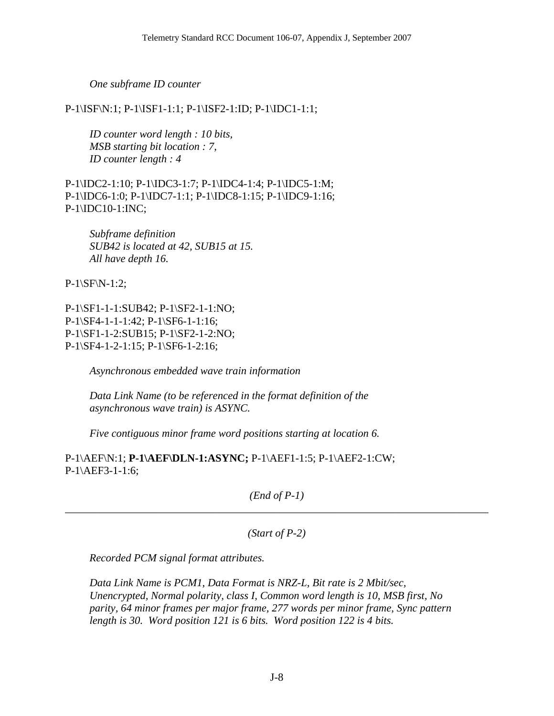*One subframe ID counter*

P-1\ISF\N:1; P-1\ISF1-1:1; P-1\ISF2-1:ID; P-1\IDC1-1:1;

 *ID counter word length : 10 bits, MSB starting bit location : 7, ID counter length : 4*

P-1\IDC2-1:10; P-1\IDC3-1:7; P-1\IDC4-1:4; P-1\IDC5-1:M; P-1\IDC6-1:0; P-1\IDC7-1:1; P-1\IDC8-1:15; P-1\IDC9-1:16; P-1\IDC10-1:INC;

 *Subframe definition SUB42 is located at 42, SUB15 at 15. All have depth 16.*

P-1\SF\N-1:2;

P-1\SF1-1-1:SUB42; P-1\SF2-1-1:NO; P-1\SF4-1-1-1:42; P-1\SF6-1-1:16; P-1\SF1-1-2:SUB15; P-1\SF2-1-2:NO; P-1\SF4-1-2-1:15; P-1\SF6-1-2:16;

 *Asynchronous embedded wave train information* 

 *Data Link Name (to be referenced in the format definition of the asynchronous wave train) is ASYNC.* 

 *Five contiguous minor frame word positions starting at location 6.*

P-1\AEF\N:1; **P-1\AEF\DLN-1:ASYNC;** P-1\AEF1-1:5; P-1\AEF2-1:CW; P-1\AEF3-1-1:6;

*(End of P-1) \_\_\_\_\_\_\_\_\_\_\_\_\_\_\_\_\_\_\_\_\_\_\_\_\_\_\_\_\_\_\_\_\_\_\_\_\_\_\_\_\_\_\_\_\_\_\_\_\_\_\_\_\_\_\_\_\_\_\_\_\_\_\_\_\_\_\_\_\_\_\_\_\_\_\_\_\_\_* 

*(Start of P-2)* 

 *Recorded PCM signal format attributes.* 

*Data Link Name is PCM1, Data Format is NRZ-L, Bit rate is 2 Mbit/sec, Unencrypted, Normal polarity, class I, Common word length is 10, MSB first, No parity, 64 minor frames per major frame, 277 words per minor frame, Sync pattern length is 30. Word position 121 is 6 bits. Word position 122 is 4 bits.*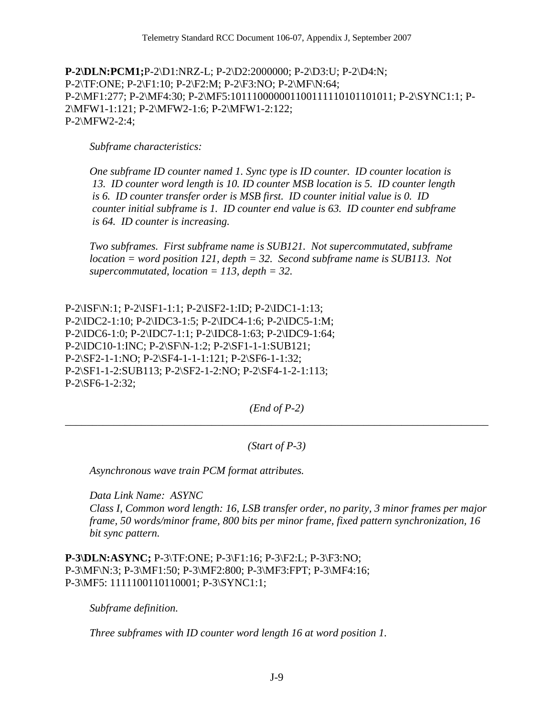**P-2\DLN:PCM1;**P-2\D1:NRZ-L; P-2\D2:2000000; P-2\D3:U; P-2\D4:N; P-2\TF:ONE; P-2\F1:10; P-2\F2:M; P-2\F3:NO; P-2\MF\N:64; P-2\MF1:277; P-2\MF4:30; P-2\MF5:101110000001100111110101101011; P-2\SYNC1:1; P-2\MFW1-1:121; P-2\MFW2-1:6; P-2\MFW1-2:122; P-2\MFW2-2:4;

 *Subframe characteristics:* 

 *One subframe ID counter named 1. Sync type is ID counter. ID counter location is 13. ID counter word length is 10. ID counter MSB location is 5. ID counter length is 6. ID counter transfer order is MSB first. ID counter initial value is 0. ID counter initial subframe is 1. ID counter end value is 63. ID counter end subframe is 64. ID counter is increasing.* 

*Two subframes. First subframe name is SUB121. Not supercommutated, subframe location = word position 121, depth = 32. Second subframe name is SUB113. Not supercommutated, location = 113, depth = 32.* 

P-2\ISF\N:1; P-2\ISF1-1:1; P-2\ISF2-1:ID; P-2\IDC1-1:13; P-2\IDC2-1:10; P-2\IDC3-1:5; P-2\IDC4-1:6; P-2\IDC5-1:M; P-2\IDC6-1:0; P-2\IDC7-1:1; P-2\IDC8-1:63; P-2\IDC9-1:64; P-2\IDC10-1:INC; P-2\SF\N-1:2; P-2\SF1-1-1:SUB121; P-2\SF2-1-1:NO; P-2\SF4-1-1-1:121; P-2\SF6-1-1:32; P-2\SF1-1-2:SUB113; P-2\SF2-1-2:NO; P-2\SF4-1-2-1:113; P-2\SF6-1-2:32;

*(End of P-2) \_\_\_\_\_\_\_\_\_\_\_\_\_\_\_\_\_\_\_\_\_\_\_\_\_\_\_\_\_\_\_\_\_\_\_\_\_\_\_\_\_\_\_\_\_\_\_\_\_\_\_\_\_\_\_\_\_\_\_\_\_\_\_\_\_\_\_\_\_\_\_\_\_\_\_\_\_\_* 

*(Start of P-3)* 

 *Asynchronous wave train PCM format attributes.* 

 *Data Link Name: ASYNC* 

*Class I, Common word length: 16, LSB transfer order, no parity, 3 minor frames per major frame, 50 words/minor frame, 800 bits per minor frame, fixed pattern synchronization, 16 bit sync pattern.* 

**P-3\DLN:ASYNC;** P-3\TF:ONE; P-3\F1:16; P-3\F2:L; P-3\F3:NO; P-3\MF\N:3; P-3\MF1:50; P-3\MF2:800; P-3\MF3:FPT; P-3\MF4:16; P-3\MF5: 1111100110110001; P-3\SYNC1:1;

 *Subframe definition.* 

 *Three subframes with ID counter word length 16 at word position 1.*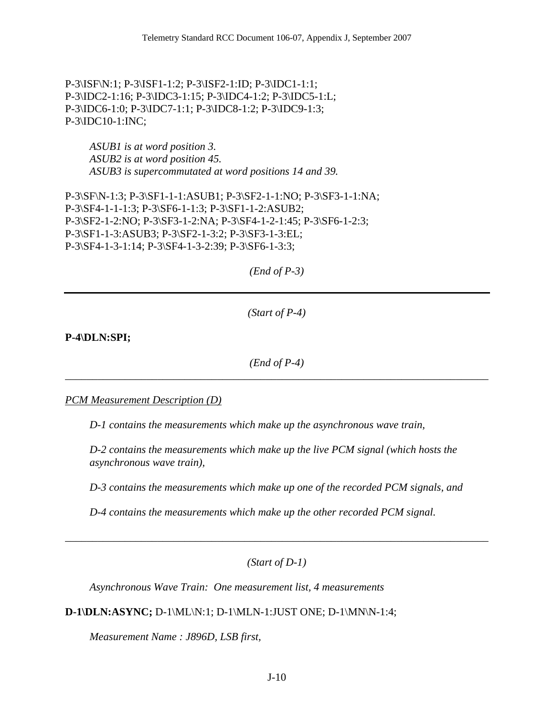P-3\ISF\N:1; P-3\ISF1-1:2; P-3\ISF2-1:ID; P-3\IDC1-1:1; P-3\IDC2-1:16; P-3\IDC3-1:15; P-3\IDC4-1:2; P-3\IDC5-1:L; P-3\IDC6-1:0; P-3\IDC7-1:1; P-3\IDC8-1:2; P-3\IDC9-1:3; P-3\IDC10-1:INC;

 *ASUB1 is at word position 3. ASUB2 is at word position 45. ASUB3 is supercommutated at word positions 14 and 39.*

P-3\SF\N-1:3; P-3\SF1-1-1:ASUB1; P-3\SF2-1-1:NO; P-3\SF3-1-1:NA; P-3\SF4-1-1-1:3; P-3\SF6-1-1:3; P-3\SF1-1-2:ASUB2; P-3\SF2-1-2:NO; P-3\SF3-1-2:NA; P-3\SF4-1-2-1:45; P-3\SF6-1-2:3; P-3\SF1-1-3:ASUB3; P-3\SF2-1-3:2; P-3\SF3-1-3:EL; P-3\SF4-1-3-1:14; P-3\SF4-1-3-2:39; P-3\SF6-1-3:3;

*(End of P-3)* 

*(Start of P-4)* 

**P-4\DLN:SPI;** 

*(End of P-4) \_\_\_\_\_\_\_\_\_\_\_\_\_\_\_\_\_\_\_\_\_\_\_\_\_\_\_\_\_\_\_\_\_\_\_\_\_\_\_\_\_\_\_\_\_\_\_\_\_\_\_\_\_\_\_\_\_\_\_\_\_\_\_\_\_\_\_\_\_\_\_\_\_\_\_\_\_\_* 

*PCM Measurement Description (D)*

 *D-1 contains the measurements which make up the asynchronous wave train,* 

 *D-2 contains the measurements which make up the live PCM signal (which hosts the asynchronous wave train),* 

 *D-3 contains the measurements which make up one of the recorded PCM signals, and* 

 *D-4 contains the measurements which make up the other recorded PCM signal.* 

*(Start of D-1)* 

*\_\_\_\_\_\_\_\_\_\_\_\_\_\_\_\_\_\_\_\_\_\_\_\_\_\_\_\_\_\_\_\_\_\_\_\_\_\_\_\_\_\_\_\_\_\_\_\_\_\_\_\_\_\_\_\_\_\_\_\_\_\_\_\_\_\_\_\_\_\_\_\_\_\_\_\_\_\_* 

 *Asynchronous Wave Train: One measurement list, 4 measurements* 

**D-1\DLN:ASYNC;** D-1\ML\N:1; D-1\MLN-1:JUST ONE; D-1\MN\N-1:4;

 *Measurement Name : J896D, LSB first,*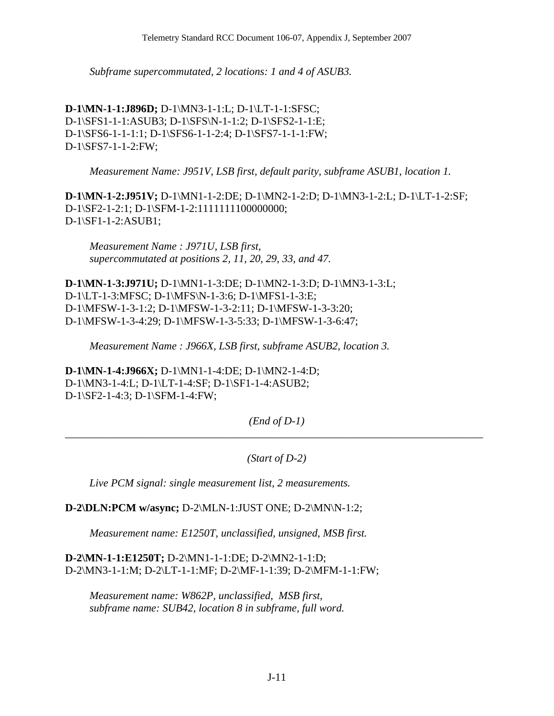*Subframe supercommutated, 2 locations: 1 and 4 of ASUB3.*

**D-1\MN-1-1:J896D;** D-1\MN3-1-1:L; D-1\LT-1-1:SFSC; D-1\SFS1-1-1:ASUB3; D-1\SFS\N-1-1:2; D-1\SFS2-1-1:E; D-1\SFS6-1-1-1:1; D-1\SFS6-1-1-2:4; D-1\SFS7-1-1-1:FW; D-1\SFS7-1-1-2:FW;

 *Measurement Name: J951V, LSB first, default parity, subframe ASUB1, location 1.*

**D-1\MN-1-2:J951V;** D-1\MN1-1-2:DE; D-1\MN2-1-2:D; D-1\MN3-1-2:L; D-1\LT-1-2:SF; D-1\SF2-1-2:1; D-1\SFM-1-2:1111111100000000; D-1\SF1-1-2:ASUB1;

 *Measurement Name : J971U, LSB first, supercommutated at positions 2, 11, 20, 29, 33, and 47.* 

**D-1\MN-1-3:J971U;** D-1\MN1-1-3:DE; D-1\MN2-1-3:D; D-1\MN3-1-3:L; D-1\LT-1-3:MFSC; D-1\MFS\N-1-3:6; D-1\MFS1-1-3:E; D-1\MFSW-1-3-1:2; D-1\MFSW-1-3-2:11; D-1\MFSW-1-3-3:20; D-1\MFSW-1-3-4:29; D-1\MFSW-1-3-5:33; D-1\MFSW-1-3-6:47;

 *Measurement Name : J966X, LSB first, subframe ASUB2, location 3.*

**D-1\MN-1-4:J966X;** D-1\MN1-1-4:DE; D-1\MN2-1-4:D; D-1\MN3-1-4:L; D-1\LT-1-4:SF; D-1\SF1-1-4:ASUB2; D-1\SF2-1-4:3; D-1\SFM-1-4:FW;

*(End of D-1) \_\_\_\_\_\_\_\_\_\_\_\_\_\_\_\_\_\_\_\_\_\_\_\_\_\_\_\_\_\_\_\_\_\_\_\_\_\_\_\_\_\_\_\_\_\_\_\_\_\_\_\_\_\_\_\_\_\_\_\_\_\_\_\_\_\_\_\_\_\_\_\_\_\_\_\_\_* 

*(Start of D-2)* 

 *Live PCM signal: single measurement list, 2 measurements.*

**D-2\DLN:PCM w/async;** D-2\MLN-1:JUST ONE; D-2\MN\N-1:2;

 *Measurement name: E1250T, unclassified, unsigned, MSB first.*

**D-2\MN-1-1:E1250T;** D-2\MN1-1-1:DE; D-2\MN2-1-1:D; D-2\MN3-1-1:M; D-2\LT-1-1:MF; D-2\MF-1-1:39; D-2\MFM-1-1:FW;

 *Measurement name: W862P, unclassified, MSB first, subframe name: SUB42, location 8 in subframe, full word.*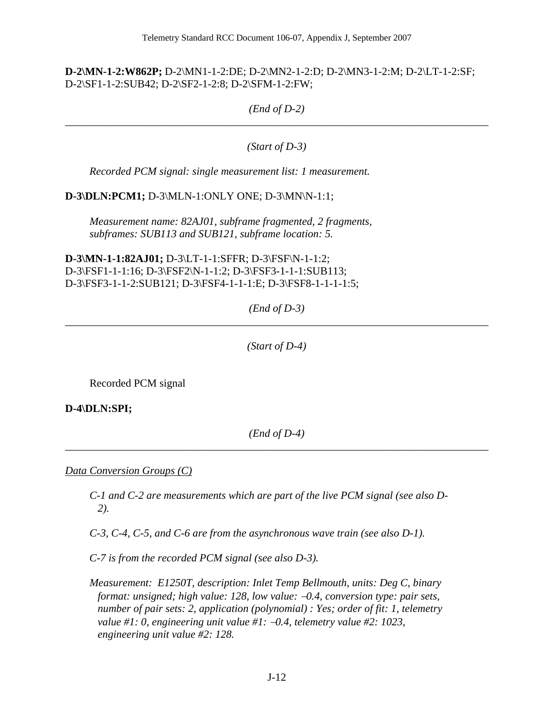#### **D-2\MN-1-2:W862P;** D-2\MN1-1-2:DE; D-2\MN2-1-2:D; D-2\MN3-1-2:M; D-2\LT-1-2:SF; D-2\SF1-1-2:SUB42; D-2\SF2-1-2:8; D-2\SFM-1-2:FW;

*(End of D-2)* \_\_\_\_\_\_\_\_\_\_\_\_\_\_\_\_\_\_\_\_\_\_\_\_\_\_\_\_\_\_\_\_\_\_\_\_\_\_\_\_\_\_\_\_\_\_\_\_\_\_\_\_\_\_\_\_\_\_\_\_\_\_\_\_\_\_\_\_\_\_\_\_\_\_\_\_\_\_

*(Start of D-3)* 

 *Recorded PCM signal: single measurement list: 1 measurement.*

**D-3\DLN:PCM1;** D-3\MLN-1:ONLY ONE; D-3\MN\N-1:1;

 *Measurement name: 82AJ01, subframe fragmented, 2 fragments, subframes: SUB113 and SUB121, subframe location: 5.*

**D-3\MN-1-1:82AJ01;** D-3\LT-1-1:SFFR; D-3\FSF\N-1-1:2; D-3\FSF1-1-1:16; D-3\FSF2\N-1-1:2; D-3\FSF3-1-1-1:SUB113; D-3\FSF3-1-1-2:SUB121; D-3\FSF4-1-1-1:E; D-3\FSF8-1-1-1-1:5;

*(End of D-3)*  \_\_\_\_\_\_\_\_\_\_\_\_\_\_\_\_\_\_\_\_\_\_\_\_\_\_\_\_\_\_\_\_\_\_\_\_\_\_\_\_\_\_\_\_\_\_\_\_\_\_\_\_\_\_\_\_\_\_\_\_\_\_\_\_\_\_\_\_\_\_\_\_\_\_\_\_\_\_

*(Start of D-4)* 

Recorded PCM signal

**D-4\DLN:SPI;** 

*(End of D-4) \_\_\_\_\_\_\_\_\_\_\_\_\_\_\_\_\_\_\_\_\_\_\_\_\_\_\_\_\_\_\_\_\_\_\_\_\_\_\_\_\_\_\_\_\_\_\_\_\_\_\_\_\_\_\_\_\_\_\_\_\_\_\_\_\_\_\_\_\_\_\_\_\_\_\_\_\_\_* 

*Data Conversion Groups (C)*

 *C-1 and C-2 are measurements which are part of the live PCM signal (see also D-2).* 

 *C-3, C-4, C-5, and C-6 are from the asynchronous wave train (see also D-1).* 

 *C-7 is from the recorded PCM signal (see also D-3).* 

 *Measurement: E1250T, description: Inlet Temp Bellmouth, units: Deg C, binary format: unsigned; high value: 128, low value:* −*0.4, conversion type: pair sets, number of pair sets: 2, application (polynomial) : Yes; order of fit: 1, telemetry value #1: 0, engineering unit value #1:* −*0.4, telemetry value #2: 1023, engineering unit value #2: 128.*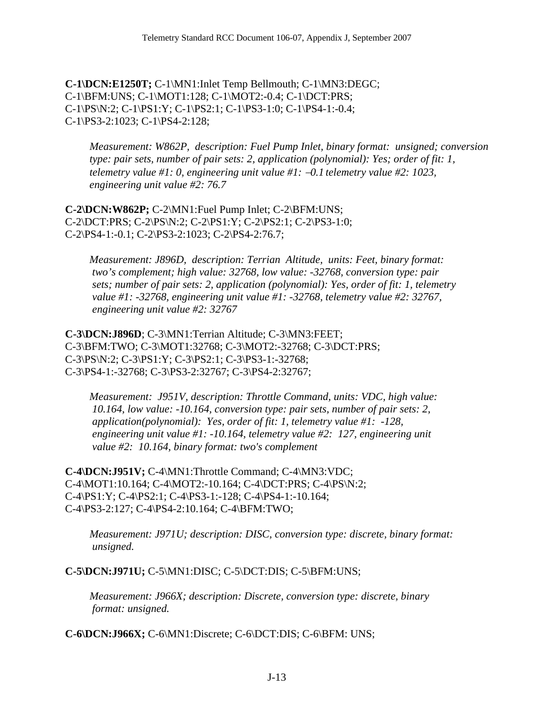**C-1\DCN:E1250T;** C-1\MN1:Inlet Temp Bellmouth; C-1\MN3:DEGC; C-1\BFM:UNS; C-1\MOT1:128; C-1\MOT2:-0.4; C-1\DCT:PRS; C-1\PS\N:2; C-1\PS1:Y; C-1\PS2:1; C-1\PS3-1:0; C-1\PS4-1:-0.4; C-1\PS3-2:1023; C-1\PS4-2:128;

*Measurement: W862P, description: Fuel Pump Inlet, binary format: unsigned; conversion type: pair sets, number of pair sets: 2, application (polynomial): Yes; order of fit: 1, telemetry value #1: 0, engineering unit value #1:* −*0.1 telemetry value #2: 1023, engineering unit value #2: 76.7* 

**C-2\DCN:W862P;** C-2\MN1:Fuel Pump Inlet; C-2\BFM:UNS; C-2\DCT:PRS; C-2\PS\N:2; C-2\PS1:Y; C-2\PS2:1; C-2\PS3-1:0; C-2\PS4-1:-0.1; C-2\PS3-2:1023; C-2\PS4-2:76.7;

 *Measurement: J896D, description: Terrian Altitude, units: Feet, binary format: two's complement; high value: 32768, low value: -32768, conversion type: pair sets; number of pair sets: 2, application (polynomial): Yes, order of fit: 1, telemetry value #1: -32768, engineering unit value #1: -32768, telemetry value #2: 32767, engineering unit value #2: 32767*

**C-3\DCN:J896D**; C-3\MN1:Terrian Altitude; C-3\MN3:FEET; C-3\BFM:TWO; C-3\MOT1:32768; C-3\MOT2:-32768; C-3\DCT:PRS; C-3\PS\N:2; C-3\PS1:Y; C-3\PS2:1; C-3\PS3-1:-32768; C-3\PS4-1:-32768; C-3\PS3-2:32767; C-3\PS4-2:32767;

 *Measurement: J951V, description: Throttle Command, units: VDC, high value: 10.164, low value: -10.164, conversion type: pair sets, number of pair sets: 2, application(polynomial): Yes, order of fit: 1, telemetry value #1: -128, engineering unit value #1: -10.164, telemetry value #2: 127, engineering unit value #2: 10.164, binary format: two's complement*

**C-4\DCN:J951V;** C-4\MN1:Throttle Command; C-4\MN3:VDC; C-4\MOT1:10.164; C-4\MOT2:-10.164; C-4\DCT:PRS; C-4\PS\N:2; C-4\PS1:Y; C-4\PS2:1; C-4\PS3-1:-128; C-4\PS4-1:-10.164; C-4\PS3-2:127; C-4\PS4-2:10.164; C-4\BFM:TWO;

 *Measurement: J971U; description: DISC, conversion type: discrete, binary format: unsigned.* 

**C-5\DCN:J971U;** C-5\MN1:DISC; C-5\DCT:DIS; C-5\BFM:UNS;

 *Measurement: J966X; description: Discrete, conversion type: discrete, binary format: unsigned.* 

**C-6\DCN:J966X;** C-6\MN1:Discrete; C-6\DCT:DIS; C-6\BFM: UNS;